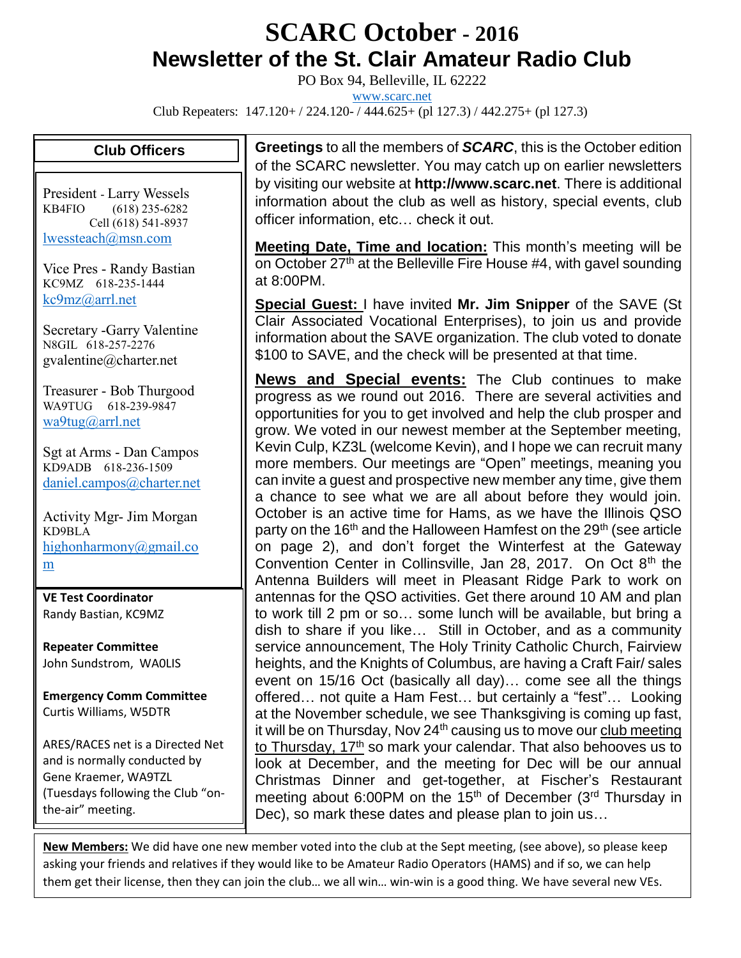# **SCARC October - <sup>2016</sup> Newsletter of the St. Clair Amateur Radio Club**

PO Box 94, Belleville, IL 62222

[www.scarc.net](http://www.scarc.net/)

Club Repeaters: 147.120+ / 224.120- / 444.625+ (pl 127.3) / 442.275+ (pl 127.3)

#### **Club Officers**

President - Larry Wessels KB4FIO (618) 235-6282 Cell (618) 541-8937 [lwessteach@msn.com](mailto:lwessteach@msn.com)

Vice Pres - Randy Bastian KC9MZ 618-235-1444 [kc9mz@arrl.net](mailto:kc9mz@arrl.net)

Secretary -Garry Valentine N8GIL 618-257-2276 gvalentine@charter.net

Treasurer - Bob Thurgood WA9TUG 618-239-9847 [wa9tug@arrl.net](mailto:wa9tug@arrl.net)

Sgt at Arms - Dan Campos KD9ADB 618-236-1509 [daniel.campos@charter.net](mailto:daniel.campos@charter.net)

Activity Mgr- Jim Morgan KD9BLA [highonharmony@gmail.co](mailto:highonharmony@gmail.com) [m](mailto:highonharmony@gmail.com)

**VE Test Coordinator** Randy Bastian, KC9MZ

**Repeater Committee** John Sundstrom, WA0LIS

**Emergency Comm Committee** Curtis Williams, W5DTR

ARES/RACES net is a Directed Net and is normally conducted by Gene Kraemer, WA9TZL (Tuesdays following the Club "onthe-air" meeting.

**Greetings** to all the members of *SCARC*, this is the October edition of the SCARC newsletter. You may catch up on earlier newsletters by visiting our website at **http://www.scarc.net**. There is additional information about the club as well as history, special events, club officer information, etc… check it out.

**Meeting Date, Time and location:** This month's meeting will be on October 27<sup>th</sup> at the Belleville Fire House #4, with gavel sounding at 8:00PM.

**Special Guest:** I have invited **Mr. Jim Snipper** of the SAVE (St Clair Associated Vocational Enterprises), to join us and provide information about the SAVE organization. The club voted to donate \$100 to SAVE, and the check will be presented at that time.

**News and Special events:** The Club continues to make progress as we round out 2016. There are several activities and opportunities for you to get involved and help the club prosper and grow. We voted in our newest member at the September meeting, Kevin Culp, KZ3L (welcome Kevin), and I hope we can recruit many more members. Our meetings are "Open" meetings, meaning you can invite a guest and prospective new member any time, give them a chance to see what we are all about before they would join. October is an active time for Hams, as we have the Illinois QSO party on the 16<sup>th</sup> and the Halloween Hamfest on the 29<sup>th</sup> (see article on page 2), and don't forget the Winterfest at the Gateway Convention Center in Collinsville, Jan 28, 2017. On Oct 8<sup>th</sup> the Antenna Builders will meet in Pleasant Ridge Park to work on antennas for the QSO activities. Get there around 10 AM and plan to work till 2 pm or so… some lunch will be available, but bring a dish to share if you like… Still in October, and as a community service announcement, The Holy Trinity Catholic Church, Fairview heights, and the Knights of Columbus, are having a Craft Fair/ sales event on 15/16 Oct (basically all day)… come see all the things offered… not quite a Ham Fest… but certainly a "fest"… Looking at the November schedule, we see Thanksgiving is coming up fast, it will be on Thursday, Nov  $24<sup>th</sup>$  causing us to move our club meeting to Thursday, 17th so mark your calendar. That also behooves us to look at December, and the meeting for Dec will be our annual Christmas Dinner and get-together, at Fischer's Restaurant meeting about 6:00PM on the 15<sup>th</sup> of December (3<sup>rd</sup> Thursday in Dec), so mark these dates and please plan to join us…

**New Members:** We did have one new member voted into the club at the Sept meeting, (see above), so please keep asking your friends and relatives if they would like to be Amateur Radio Operators (HAMS) and if so, we can help them get their license, then they can join the club… we all win… win-win is a good thing. We have several new VEs.